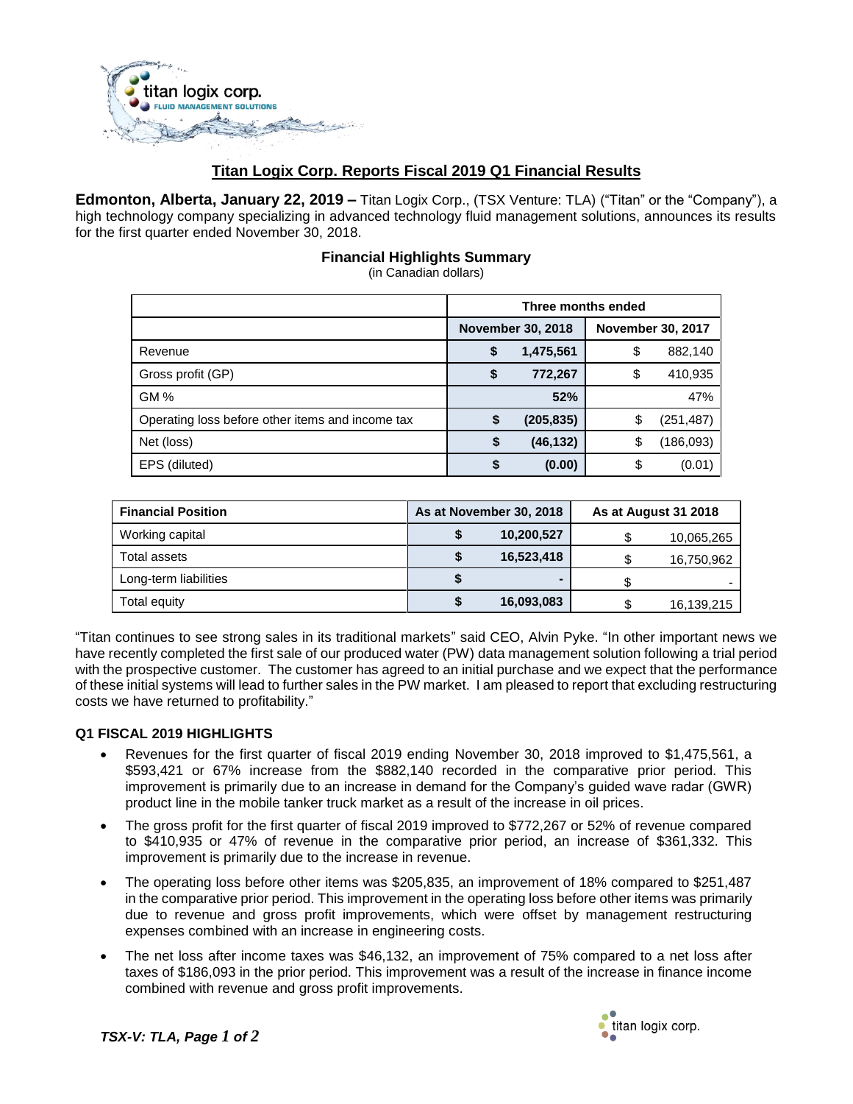

# **Titan Logix Corp. Reports Fiscal 2019 Q1 Financial Results**

**Edmonton, Alberta, January 22, 2019 –** Titan Logix Corp., (TSX Venture: TLA) ("Titan" or the "Company"), a high technology company specializing in advanced technology fluid management solutions, announces its results for the first quarter ended November 30, 2018.

# **Financial Highlights Summary**

(in Canadian dollars)

|                                                  | Three months ended       |            |                          |            |
|--------------------------------------------------|--------------------------|------------|--------------------------|------------|
|                                                  | <b>November 30, 2018</b> |            | <b>November 30, 2017</b> |            |
| Revenue                                          | \$                       | 1,475,561  | \$                       | 882,140    |
| Gross profit (GP)                                | \$                       | 772,267    | \$                       | 410,935    |
| GM%                                              |                          | 52%        |                          | 47%        |
| Operating loss before other items and income tax |                          | (205, 835) | \$                       | (251, 487) |
| Net (loss)                                       | \$                       | (46, 132)  | \$                       | (186, 093) |
| EPS (diluted)                                    |                          | (0.00)     | \$                       | (0.01)     |

| <b>Financial Position</b> | As at November 30, 2018 |            | As at August 31 2018 |            |
|---------------------------|-------------------------|------------|----------------------|------------|
| Working capital           |                         | 10,200,527 |                      | 10,065,265 |
| Total assets              |                         | 16,523,418 |                      | 16,750,962 |
| Long-term liabilities     |                         |            |                      |            |
| Total equity              |                         | 16,093,083 |                      | 16,139,215 |

"Titan continues to see strong sales in its traditional markets" said CEO, Alvin Pyke. "In other important news we have recently completed the first sale of our produced water (PW) data management solution following a trial period with the prospective customer. The customer has agreed to an initial purchase and we expect that the performance of these initial systems will lead to further sales in the PW market. I am pleased to report that excluding restructuring costs we have returned to profitability."

### **Q1 FISCAL 2019 HIGHLIGHTS**

- Revenues for the first quarter of fiscal 2019 ending November 30, 2018 improved to \$1,475,561, a \$593,421 or 67% increase from the \$882,140 recorded in the comparative prior period. This improvement is primarily due to an increase in demand for the Company's guided wave radar (GWR) product line in the mobile tanker truck market as a result of the increase in oil prices.
- The gross profit for the first quarter of fiscal 2019 improved to \$772,267 or 52% of revenue compared to \$410,935 or 47% of revenue in the comparative prior period, an increase of \$361,332. This improvement is primarily due to the increase in revenue.
- The operating loss before other items was \$205,835, an improvement of 18% compared to \$251,487 in the comparative prior period. This improvement in the operating loss before other items was primarily due to revenue and gross profit improvements, which were offset by management restructuring expenses combined with an increase in engineering costs.
- The net loss after income taxes was \$46,132, an improvement of 75% compared to a net loss after taxes of \$186,093 in the prior period. This improvement was a result of the increase in finance income combined with revenue and gross profit improvements.